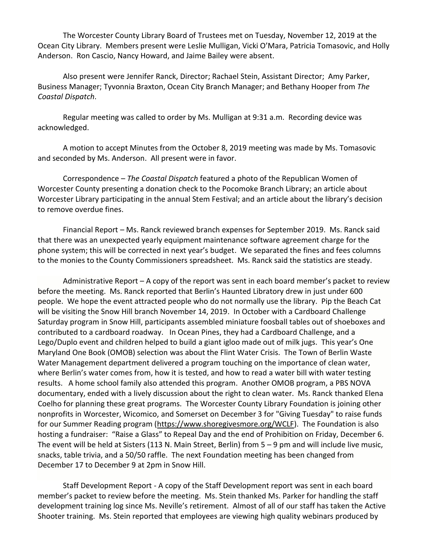The Worcester County Library Board of Trustees met on Tuesday, November 12, 2019 at the Ocean City Library. Members present were Leslie Mulligan, Vicki O'Mara, Patricia Tomasovic, and Holly Anderson. Ron Cascio, Nancy Howard, and Jaime Bailey were absent.

Also present were Jennifer Ranck, Director; Rachael Stein, Assistant Director; Amy Parker, Business Manager; Tyvonnia Braxton, Ocean City Branch Manager; and Bethany Hooper from *The Coastal Dispatch*.

Regular meeting was called to order by Ms. Mulligan at 9:31 a.m. Recording device was acknowledged.

A motion to accept Minutes from the October 8, 2019 meeting was made by Ms. Tomasovic and seconded by Ms. Anderson. All present were in favor.

Correspondence – *The Coastal Dispatch* featured a photo of the Republican Women of Worcester County presenting a donation check to the Pocomoke Branch Library; an article about Worcester Library participating in the annual Stem Festival; and an article about the library's decision to remove overdue fines.

Financial Report – Ms. Ranck reviewed branch expenses for September 2019. Ms. Ranck said that there was an unexpected yearly equipment maintenance software agreement charge for the phone system; this will be corrected in next year's budget. We separated the fines and fees columns to the monies to the County Commissioners spreadsheet. Ms. Ranck said the statistics are steady.

Administrative Report – A copy of the report was sent in each board member's packet to review before the meeting. Ms. Ranck reported that Berlin's Haunted Libratory drew in just under 600 people. We hope the event attracted people who do not normally use the library. Pip the Beach Cat will be visiting the Snow Hill branch November 14, 2019. In October with a Cardboard Challenge Saturday program in Snow Hill, participants assembled miniature foosball tables out of shoeboxes and contributed to a cardboard roadway. In Ocean Pines, they had a Cardboard Challenge, and a Lego/Duplo event and children helped to build a giant igloo made out of milk jugs. This year's One Maryland One Book (OMOB) selection was about the Flint Water Crisis. The Town of Berlin Waste Water Management department delivered a program touching on the importance of clean water, where Berlin's water comes from, how it is tested, and how to read a water bill with water testing results. A home school family also attended this program. Another OMOB program, a PBS NOVA documentary, ended with a lively discussion about the right to clean water. Ms. Ranck thanked Elena Coelho for planning these great programs. The Worcester County Library Foundation is joining other nonprofits in Worcester, Wicomico, and Somerset on December 3 for "Giving Tuesday" to raise funds for our Summer Reading program [\(https://www.shoregivesmore.org/WCLF\)](https://www.shoregivesmore.org/WCLF). The Foundation is also hosting a fundraiser: "Raise a Glass" to Repeal Day and the end of Prohibition on Friday, December 6. The event will be held at Sisters (113 N. Main Street, Berlin) from 5 – 9 pm and will include live music, snacks, table trivia, and a 50/50 raffle. The next Foundation meeting has been changed from December 17 to December 9 at 2pm in Snow Hill.

Staff Development Report - A copy of the Staff Development report was sent in each board member's packet to review before the meeting. Ms. Stein thanked Ms. Parker for handling the staff development training log since Ms. Neville's retirement. Almost of all of our staff has taken the Active Shooter training. Ms. Stein reported that employees are viewing high quality webinars produced by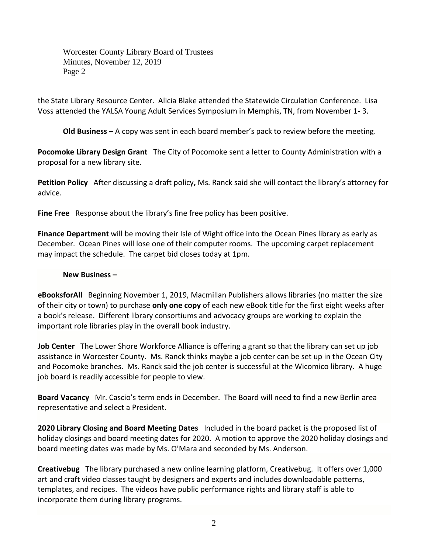Worcester County Library Board of Trustees Minutes, November 12, 2019 Page 2

the State Library Resource Center. Alicia Blake attended the Statewide Circulation Conference. Lisa Voss attended the YALSA Young Adult Services Symposium in Memphis, TN, from November 1- 3.

**Old Business** – A copy was sent in each board member's pack to review before the meeting.

**Pocomoke Library Design Grant** The City of Pocomoke sent a letter to County Administration with a proposal for a new library site.

**Petition Policy** After discussing a draft policy**,** Ms. Ranck said she will contact the library's attorney for advice.

**Fine Free** Response about the library's fine free policy has been positive.

**Finance Department** will be moving their Isle of Wight office into the Ocean Pines library as early as December. Ocean Pines will lose one of their computer rooms. The upcoming carpet replacement may impact the schedule. The carpet bid closes today at 1pm.

## **New Business –**

**eBooksforAll** Beginning November 1, 2019, Macmillan Publishers allows libraries (no matter the size of their city or town) to purchase **only one copy** of each new eBook title for the first eight weeks after a book's release. Different library consortiums and advocacy groups are working to explain the important role libraries play in the overall book industry.

**Job Center** The Lower Shore Workforce Alliance is offering a grant so that the library can set up job assistance in Worcester County. Ms. Ranck thinks maybe a job center can be set up in the Ocean City and Pocomoke branches. Ms. Ranck said the job center is successful at the Wicomico library. A huge job board is readily accessible for people to view.

**Board Vacancy** Mr. Cascio's term ends in December. The Board will need to find a new Berlin area representative and select a President.

**2020 Library Closing and Board Meeting Dates** Included in the board packet is the proposed list of holiday closings and board meeting dates for 2020. A motion to approve the 2020 holiday closings and board meeting dates was made by Ms. O'Mara and seconded by Ms. Anderson.

**Creativebug** The library purchased a new online learning platform, Creativebug. It offers over 1,000 art and craft video classes taught by designers and experts and includes downloadable patterns, templates, and recipes. The videos have public performance rights and library staff is able to incorporate them during library programs.